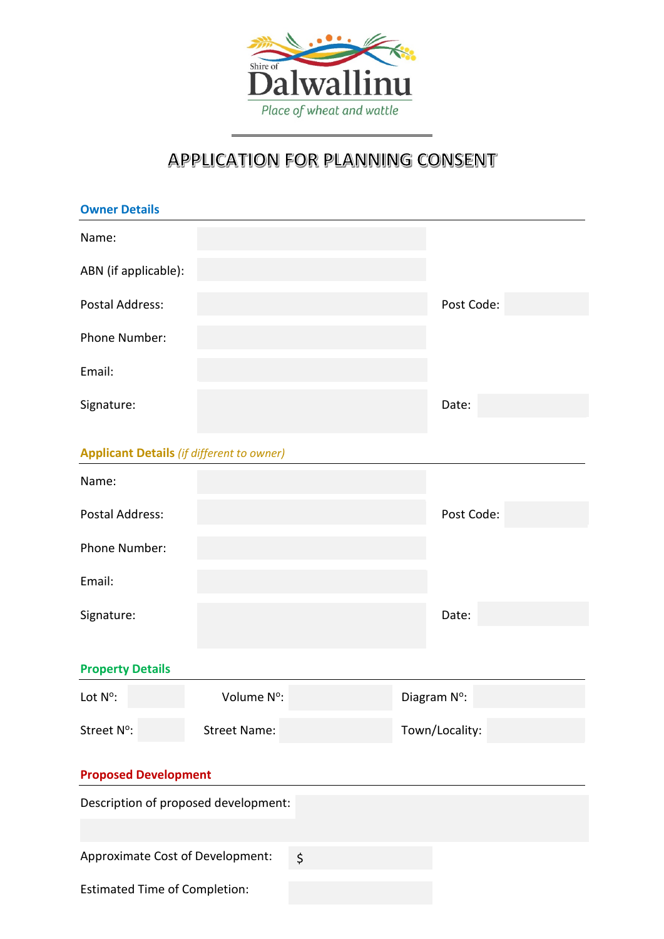

## APPLICATION FOR PLANNING CONSENT

| <b>Owner Details</b>                             |                     |         |                |  |
|--------------------------------------------------|---------------------|---------|----------------|--|
| Name:                                            |                     |         |                |  |
| ABN (if applicable):                             |                     |         |                |  |
| <b>Postal Address:</b>                           |                     |         | Post Code:     |  |
| Phone Number:                                    |                     |         |                |  |
| Email:                                           |                     |         |                |  |
| Signature:                                       |                     |         | Date:          |  |
| <b>Applicant Details (if different to owner)</b> |                     |         |                |  |
| Name:                                            |                     |         |                |  |
| <b>Postal Address:</b>                           |                     |         | Post Code:     |  |
| Phone Number:                                    |                     |         |                |  |
| Email:                                           |                     |         |                |  |
| Signature:                                       |                     |         | Date:          |  |
| <b>Property Details</b>                          |                     |         |                |  |
| Lot N°:                                          | Volume N°:          |         | Diagram N°:    |  |
| Street N°:                                       | <b>Street Name:</b> |         | Town/Locality: |  |
| <b>Proposed Development</b>                      |                     |         |                |  |
| Description of proposed development:             |                     |         |                |  |
|                                                  |                     |         |                |  |
| Approximate Cost of Development:                 |                     | $\zeta$ |                |  |
| <b>Estimated Time of Completion:</b>             |                     |         |                |  |